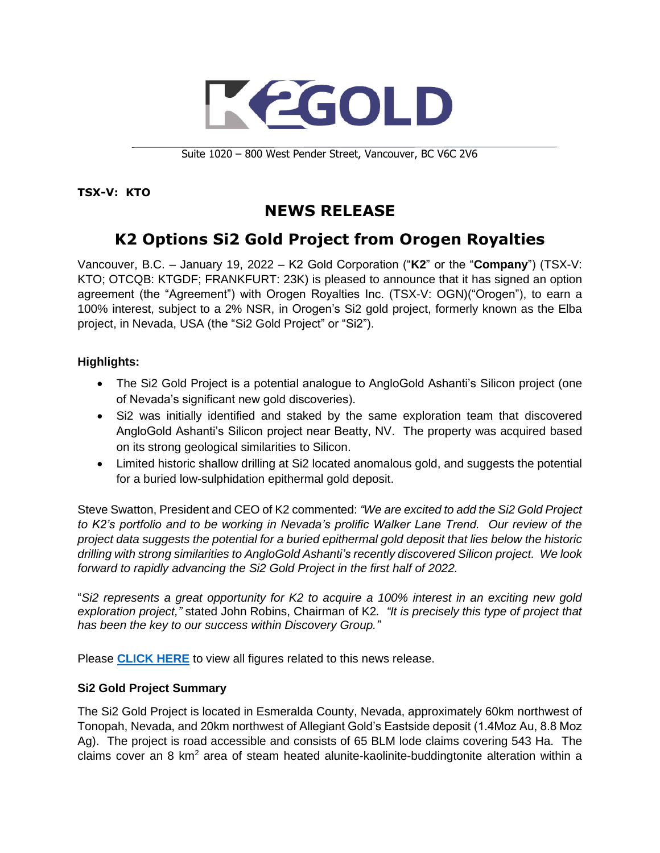

Suite 1020 – 800 West Pender Street, Vancouver, BC V6C 2V6

**TSX-V: KTO**

# **NEWS RELEASE**

# **K2 Options Si2 Gold Project from Orogen Royalties**

Vancouver, B.C. – January 19, 2022 – K2 Gold Corporation ("**K2**" or the "**Company**") (TSX-V: KTO; OTCQB: KTGDF; FRANKFURT: 23K) is pleased to announce that it has signed an option agreement (the "Agreement") with Orogen Royalties Inc. (TSX-V: OGN)("Orogen"), to earn a 100% interest, subject to a 2% NSR, in Orogen's Si2 gold project, formerly known as the Elba project, in Nevada, USA (the "Si2 Gold Project" or "Si2").

## **Highlights:**

- The Si2 Gold Project is a potential analogue to AngloGold Ashanti's Silicon project (one of Nevada's significant new gold discoveries).
- Si2 was initially identified and staked by the same exploration team that discovered AngloGold Ashanti's Silicon project near Beatty, NV. The property was acquired based on its strong geological similarities to Silicon.
- Limited historic shallow drilling at Si2 located anomalous gold, and suggests the potential for a buried low-sulphidation epithermal gold deposit.

Steve Swatton, President and CEO of K2 commented: *"We are excited to add the Si2 Gold Project to K2's portfolio and to be working in Nevada's prolific Walker Lane Trend. Our review of the project data suggests the potential for a buried epithermal gold deposit that lies below the historic drilling with strong similarities to AngloGold Ashanti's recently discovered Silicon project. We look forward to rapidly advancing the Si2 Gold Project in the first half of 2022.*

"*Si2 represents a great opportunity for K2 to acquire a 100% interest in an exciting new gold exploration project,"* stated John Robins, Chairman of K2*. "It is precisely this type of project that has been the key to our success within Discovery Group."*

Please **[CLICK HERE](https://k2gold.com/site/assets/files/6579/k2_si2_jan192022.pdf)** to view all figures related to this news release.

#### **Si2 Gold Project Summary**

The Si2 Gold Project is located in Esmeralda County, Nevada, approximately 60km northwest of Tonopah, Nevada, and 20km northwest of Allegiant Gold's Eastside deposit (1.4Moz Au, 8.8 Moz Ag). The project is road accessible and consists of 65 BLM lode claims covering 543 Ha. The claims cover an 8 km<sup>2</sup> area of steam heated alunite-kaolinite-buddingtonite alteration within a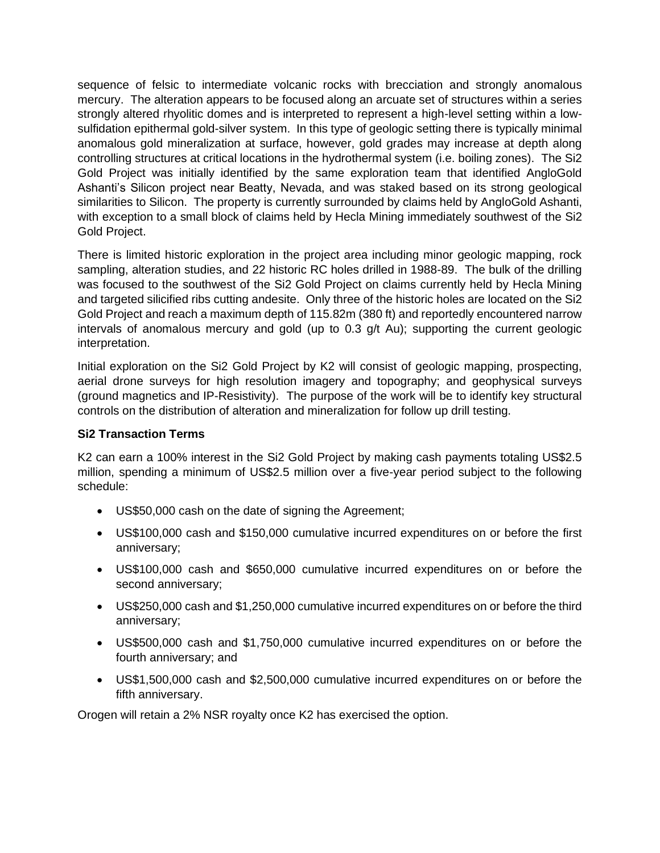sequence of felsic to intermediate volcanic rocks with brecciation and strongly anomalous mercury. The alteration appears to be focused along an arcuate set of structures within a series strongly altered rhyolitic domes and is interpreted to represent a high-level setting within a lowsulfidation epithermal gold-silver system. In this type of geologic setting there is typically minimal anomalous gold mineralization at surface, however, gold grades may increase at depth along controlling structures at critical locations in the hydrothermal system (i.e. boiling zones). The Si2 Gold Project was initially identified by the same exploration team that identified AngloGold Ashanti's Silicon project near Beatty, Nevada, and was staked based on its strong geological similarities to Silicon. The property is currently surrounded by claims held by AngloGold Ashanti, with exception to a small block of claims held by Hecla Mining immediately southwest of the Si2 Gold Project.

There is limited historic exploration in the project area including minor geologic mapping, rock sampling, alteration studies, and 22 historic RC holes drilled in 1988-89. The bulk of the drilling was focused to the southwest of the Si2 Gold Project on claims currently held by Hecla Mining and targeted silicified ribs cutting andesite. Only three of the historic holes are located on the Si2 Gold Project and reach a maximum depth of 115.82m (380 ft) and reportedly encountered narrow intervals of anomalous mercury and gold (up to 0.3 g/t Au); supporting the current geologic interpretation.

Initial exploration on the Si2 Gold Project by K2 will consist of geologic mapping, prospecting, aerial drone surveys for high resolution imagery and topography; and geophysical surveys (ground magnetics and IP-Resistivity). The purpose of the work will be to identify key structural controls on the distribution of alteration and mineralization for follow up drill testing.

#### **Si2 Transaction Terms**

K2 can earn a 100% interest in the Si2 Gold Project by making cash payments totaling US\$2.5 million, spending a minimum of US\$2.5 million over a five-year period subject to the following schedule:

- US\$50,000 cash on the date of signing the Agreement;
- US\$100,000 cash and \$150,000 cumulative incurred expenditures on or before the first anniversary;
- US\$100,000 cash and \$650,000 cumulative incurred expenditures on or before the second anniversary;
- US\$250,000 cash and \$1,250,000 cumulative incurred expenditures on or before the third anniversary;
- US\$500,000 cash and \$1,750,000 cumulative incurred expenditures on or before the fourth anniversary; and
- US\$1,500,000 cash and \$2,500,000 cumulative incurred expenditures on or before the fifth anniversary.

Orogen will retain a 2% NSR royalty once K2 has exercised the option.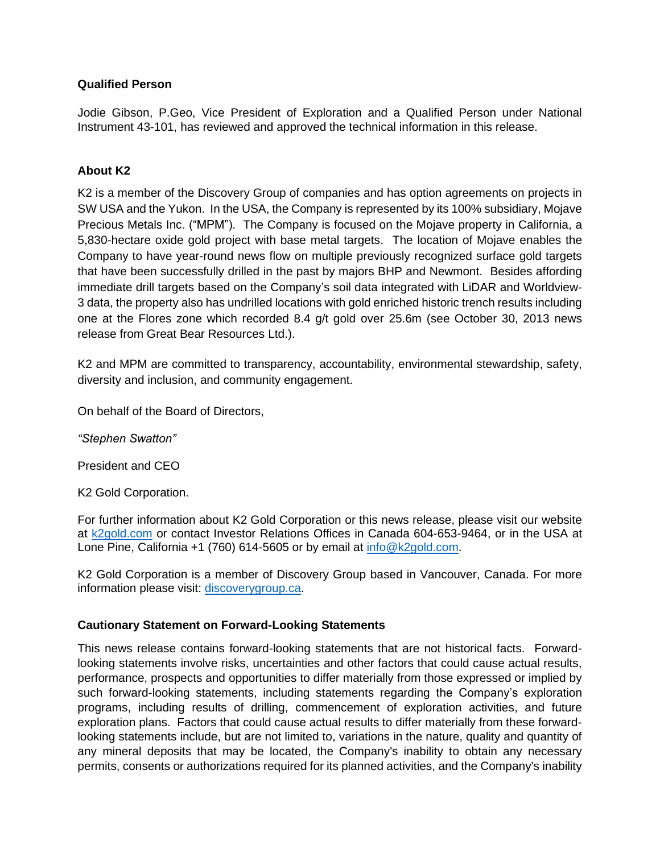#### **Qualified Person**

Jodie Gibson, P.Geo, Vice President of Exploration and a Qualified Person under National Instrument 43-101, has reviewed and approved the technical information in this release.

## **About K2**

K2 is a member of the Discovery Group of companies and has option agreements on projects in SW USA and the Yukon. In the USA, the Company is represented by its 100% subsidiary, Mojave Precious Metals Inc. ("MPM"). The Company is focused on the Mojave property in California, a 5,830-hectare oxide gold project with base metal targets. The location of Mojave enables the Company to have year-round news flow on multiple previously recognized surface gold targets that have been successfully drilled in the past by majors BHP and Newmont. Besides affording immediate drill targets based on the Company's soil data integrated with LiDAR and Worldview-3 data, the property also has undrilled locations with gold enriched historic trench results including one at the Flores zone which recorded 8.4 g/t gold over 25.6m (see October 30, 2013 news release from Great Bear Resources Ltd.).

K2 and MPM are committed to transparency, accountability, environmental stewardship, safety, diversity and inclusion, and community engagement.

On behalf of the Board of Directors,

*"Stephen Swatton"*

President and CEO

K2 Gold Corporation.

For further information about K2 Gold Corporation or this news release, please visit our website at [k2gold.com](http://k2gold.com/) or contact Investor Relations Offices in Canada 604-653-9464, or in the USA at Lone Pine, California +1 (760) 614-5605 or by email at [info@k2gold.com.](mailto:info@k2gold.com)

K2 Gold Corporation is a member of Discovery Group based in Vancouver, Canada. For more information please visit: [discoverygroup.ca.](http://discoverygroup.ca/)

#### **Cautionary Statement on Forward-Looking Statements**

This news release contains forward-looking statements that are not historical facts. Forwardlooking statements involve risks, uncertainties and other factors that could cause actual results, performance, prospects and opportunities to differ materially from those expressed or implied by such forward-looking statements, including statements regarding the Company's exploration programs, including results of drilling, commencement of exploration activities, and future exploration plans. Factors that could cause actual results to differ materially from these forwardlooking statements include, but are not limited to, variations in the nature, quality and quantity of any mineral deposits that may be located, the Company's inability to obtain any necessary permits, consents or authorizations required for its planned activities, and the Company's inability